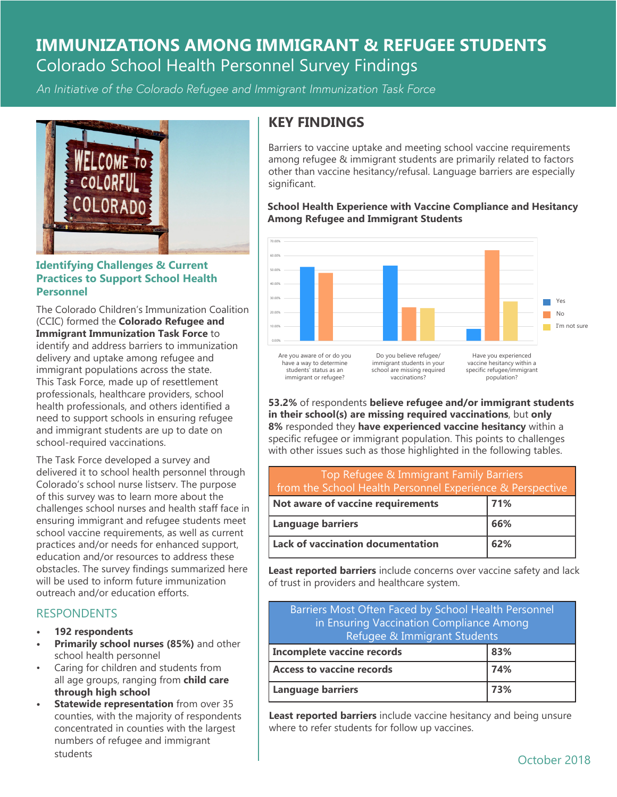# **IMMUNIZATIONS AMONG IMMIGRANT & REFUGEE STUDENTS** Colorado School Health Personnel Survey Findings

*An Initiative of the Colorado Refugee and Immigrant Immunization Task Force*



### **Identifying Challenges & Current Practices to Support School Health Personnel**

The Colorado Children's Immunization Coalition (CCIC) formed the **Colorado Refugee and Immigrant Immunization Task Force** to identify and address barriers to immunization delivery and uptake among refugee and immigrant populations across the state. This Task Force, made up of resettlement professionals, healthcare providers, school health professionals, and others identified a need to support schools in ensuring refugee and immigrant students are up to date on school-required vaccinations.

The Task Force developed a survey and delivered it to school health personnel through Colorado's school nurse listserv. The purpose of this survey was to learn more about the challenges school nurses and health staff face in ensuring immigrant and refugee students meet school vaccine requirements, as well as current practices and/or needs for enhanced support, education and/or resources to address these obstacles. The survey findings summarized here will be used to inform future immunization outreach and/or education efforts.

### **RESPONDENTS**

- **• 192 respondents**
- **• Primarily school nurses (85%)** and other school health personnel
- Caring for children and students from all age groups, ranging from **child care through high school**
- **• Statewide representation** from over 35 counties, with the majority of respondents concentrated in counties with the largest numbers of refugee and immigrant students

## **KEY FINDINGS**

Barriers to vaccine uptake and meeting school vaccine requirements among refugee & immigrant students are primarily related to factors other than vaccine hesitancy/refusal. Language barriers are especially significant.

#### **School Health Experience with Vaccine Compliance and Hesitancy Among Refugee and Immigrant Students**



**53.2%** of respondents **believe refugee and/or immigrant students in their school(s) are missing required vaccinations**, but **only 8%** responded they **have experienced vaccine hesitancy** within a specific refugee or immigrant population. This points to challenges with other issues such as those highlighted in the following tables.

| Top Refugee & Immigrant Family Barriers<br>from the School Health Personnel Experience & Perspective |     |
|------------------------------------------------------------------------------------------------------|-----|
| Not aware of vaccine requirements                                                                    | 71% |
| Language barriers                                                                                    | 66% |
| Lack of vaccination documentation                                                                    | 62% |

**Least reported barriers** include concerns over vaccine safety and lack of trust in providers and healthcare system.

| Barriers Most Often Faced by School Health Personnel<br>in Ensuring Vaccination Compliance Among<br>Refugee & Immigrant Students |     |
|----------------------------------------------------------------------------------------------------------------------------------|-----|
| <b>Incomplete vaccine records</b>                                                                                                | 83% |
| <b>Access to vaccine records</b>                                                                                                 | 74% |
| <b>Language barriers</b>                                                                                                         | 73% |

**Least reported barriers** include vaccine hesitancy and being unsure where to refer students for follow up vaccines.